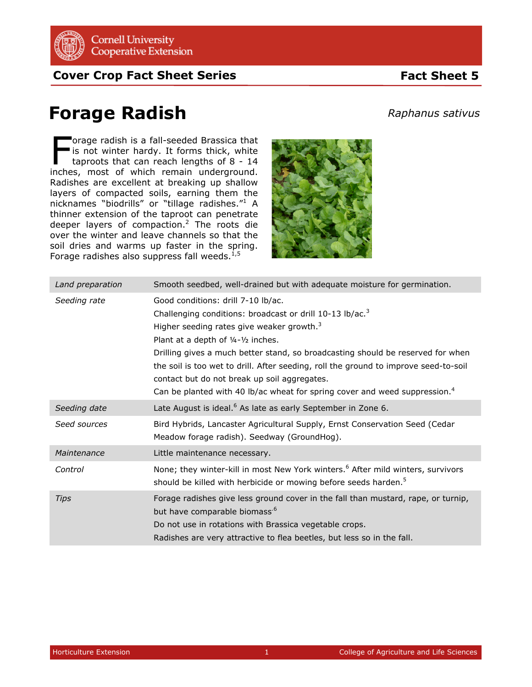

**Cover Crop Fact Sheet Series Fact Sheet 5** 

## **Forage Radish**

orage radish is a fall-seeded Brassica that is not winter hardy. It forms thick, white taproots that can reach lengths of 8 - 14 The orage radish is a fall-seeded Brassica that<br>is not winter hardy. It forms thick, white<br>taproots that can reach lengths of 8 - 14<br>inches, most of which remain underground. Radishes are excellent at breaking up shallow layers of compacted soils, earning them the nicknames "biodrills" or "tillage radishes."<sup>1</sup> A thinner extension of the taproot can penetrate deeper layers of compaction.<sup>2</sup> The roots die over the winter and leave channels so that the soil dries and warms up faster in the spring. Forage radishes also suppress fall weeds. $^{1,5}$ 



| Land preparation | Smooth seedbed, well-drained but with adequate moisture for germination.                                                                                                                                                                                                                                                                                                                                                                                                                                               |
|------------------|------------------------------------------------------------------------------------------------------------------------------------------------------------------------------------------------------------------------------------------------------------------------------------------------------------------------------------------------------------------------------------------------------------------------------------------------------------------------------------------------------------------------|
| Seeding rate     | Good conditions: drill 7-10 lb/ac.<br>Challenging conditions: broadcast or drill 10-13 lb/ac. <sup>3</sup><br>Higher seeding rates give weaker growth. $3$<br>Plant at a depth of 1/4-1/2 inches.<br>Drilling gives a much better stand, so broadcasting should be reserved for when<br>the soil is too wet to drill. After seeding, roll the ground to improve seed-to-soil<br>contact but do not break up soil aggregates.<br>Can be planted with 40 lb/ac wheat for spring cover and weed suppression. <sup>4</sup> |
| Seeding date     | Late August is ideal. <sup>6</sup> As late as early September in Zone 6.                                                                                                                                                                                                                                                                                                                                                                                                                                               |
| Seed sources     | Bird Hybrids, Lancaster Agricultural Supply, Ernst Conservation Seed (Cedar<br>Meadow forage radish). Seedway (GroundHog).                                                                                                                                                                                                                                                                                                                                                                                             |
| Maintenance      | Little maintenance necessary.                                                                                                                                                                                                                                                                                                                                                                                                                                                                                          |
| Control          | None; they winter-kill in most New York winters. <sup>6</sup> After mild winters, survivors<br>should be killed with herbicide or mowing before seeds harden. <sup>5</sup>                                                                                                                                                                                                                                                                                                                                             |
| <b>Tips</b>      | Forage radishes give less ground cover in the fall than mustard, rape, or turnip,<br>but have comparable biomass. <sup>6</sup><br>Do not use in rotations with Brassica vegetable crops.<br>Radishes are very attractive to flea beetles, but less so in the fall.                                                                                                                                                                                                                                                     |